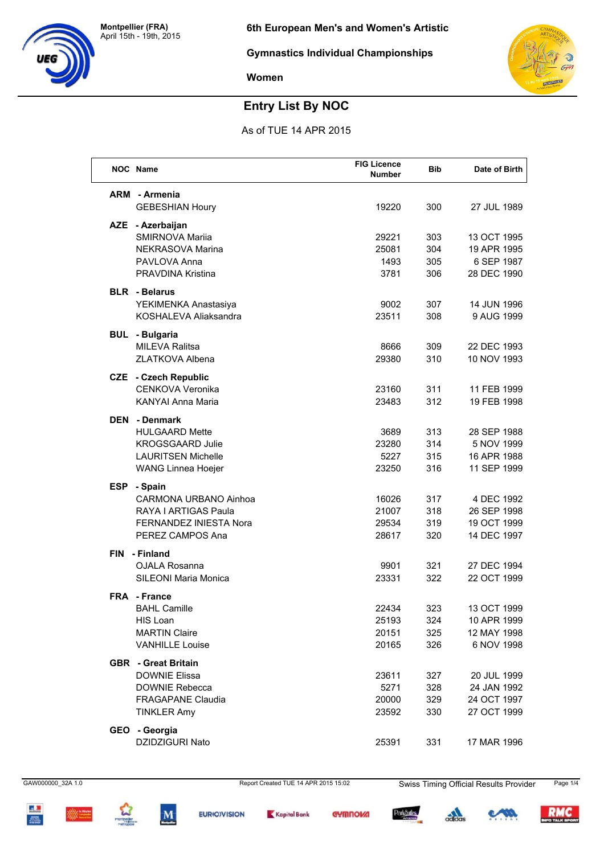



## **Entry List By NOC**

As of TUE 14 APR 2015

|            | <b>NOC</b> Name               | <b>FIG Licence</b><br><b>Number</b> | <b>Bib</b> | Date of Birth |
|------------|-------------------------------|-------------------------------------|------------|---------------|
|            | <b>ARM</b> - Armenia          |                                     |            |               |
|            | <b>GEBESHIAN Houry</b>        | 19220                               | 300        | 27 JUL 1989   |
| <b>AZE</b> | - Azerbaijan                  |                                     |            |               |
|            | SMIRNOVA Mariia               | 29221                               | 303        | 13 OCT 1995   |
|            | NEKRASOVA Marina              | 25081                               | 304        | 19 APR 1995   |
|            | PAVLOVA Anna                  | 1493                                | 305        | 6 SEP 1987    |
|            | PRAVDINA Kristina             | 3781                                | 306        | 28 DEC 1990   |
|            | <b>BLR</b> - Belarus          |                                     |            |               |
|            | YEKIMENKA Anastasiya          | 9002                                | 307        | 14 JUN 1996   |
|            | KOSHALEVA Aliaksandra         | 23511                               | 308        | 9 AUG 1999    |
| <b>BUL</b> | - Bulgaria                    |                                     |            |               |
|            | <b>MILEVA Ralitsa</b>         | 8666                                | 309        | 22 DEC 1993   |
|            | <b>ZLATKOVA Albena</b>        | 29380                               | 310        | 10 NOV 1993   |
|            | <b>CZE</b> - Czech Republic   |                                     |            |               |
|            | <b>CENKOVA Veronika</b>       | 23160                               | 311        | 11 FEB 1999   |
|            | <b>KANYAI Anna Maria</b>      | 23483                               | 312        | 19 FEB 1998   |
| <b>DEN</b> | - Denmark                     |                                     |            |               |
|            | <b>HULGAARD Mette</b>         | 3689                                | 313        | 28 SEP 1988   |
|            | <b>KROGSGAARD Julie</b>       | 23280                               | 314        | 5 NOV 1999    |
|            | <b>LAURITSEN Michelle</b>     | 5227                                | 315        | 16 APR 1988   |
|            | WANG Linnea Hoejer            | 23250                               | 316        | 11 SEP 1999   |
| <b>ESP</b> | - Spain                       |                                     |            |               |
|            | <b>CARMONA URBANO Ainhoa</b>  | 16026                               | 317        | 4 DEC 1992    |
|            | RAYA I ARTIGAS Paula          | 21007                               | 318        | 26 SEP 1998   |
|            | <b>FERNANDEZ INIESTA Nora</b> | 29534                               | 319        | 19 OCT 1999   |
|            | PEREZ CAMPOS Ana              | 28617                               | 320        | 14 DEC 1997   |
| <b>FIN</b> | - Finland                     |                                     |            |               |
|            | <b>OJALA Rosanna</b>          | 9901                                | 321        | 27 DEC 1994   |
|            | <b>SILEONI Maria Monica</b>   | 23331                               | 322        | 22 OCT 1999   |
|            | <b>FRA</b> - France           |                                     |            |               |
|            | <b>BAHL Camille</b>           | 22434                               | 323        | 13 OCT 1999   |
|            | HIS Loan                      | 25193                               | 324        | 10 APR 1999   |
|            | <b>MARTIN Claire</b>          | 20151                               | 325        | 12 MAY 1998   |
|            | <b>VANHILLE Louise</b>        | 20165                               | 326        | 6 NOV 1998    |
|            | <b>GBR</b> - Great Britain    |                                     |            |               |
|            | <b>DOWNIE Elissa</b>          | 23611                               | 327        | 20 JUL 1999   |
|            | <b>DOWNIE Rebecca</b>         | 5271                                | 328        | 24 JAN 1992   |
|            | <b>FRAGAPANE Claudia</b>      | 20000                               | 329        | 24 OCT 1997   |
|            | <b>TINKLER Amy</b>            | 23592                               | 330        | 27 OCT 1999   |
|            | GEO - Georgia                 |                                     |            |               |
|            | DZIDZIGURI Nato               | 25391                               | 331        | 17 MAR 1996   |
|            |                               |                                     |            |               |





 $\mathbf{M}$ 



Kapital Bank

**EURIO/VISION** 

**GYMNOVA** 

ParkSules

 $\frac{1}{2}$ 

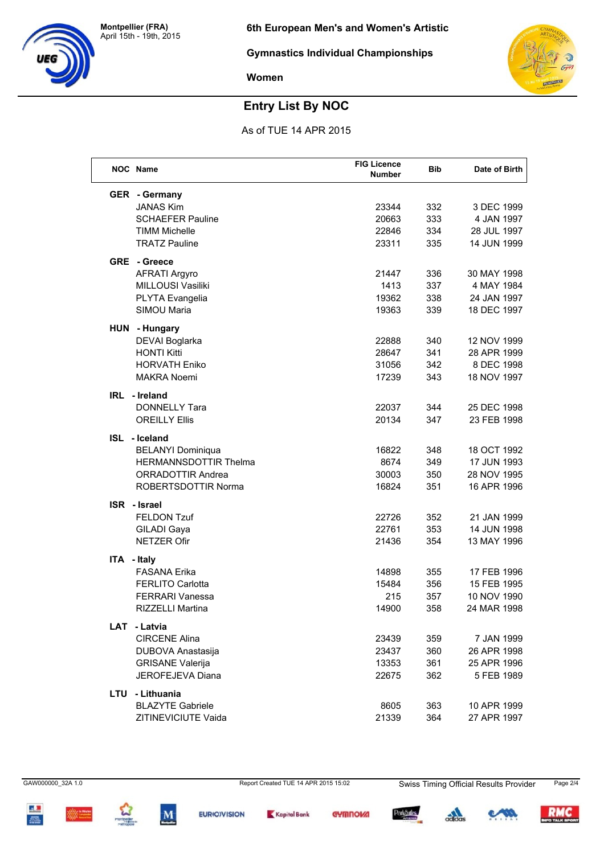



# **Entry List By NOC**

As of TUE 14 APR 2015

| NOC Name                     | <b>FIG Licence</b><br>Number | <b>Bib</b> | Date of Birth |
|------------------------------|------------------------------|------------|---------------|
| <b>GER</b> - Germany         |                              |            |               |
| <b>JANAS Kim</b>             | 23344                        | 332        | 3 DEC 1999    |
| <b>SCHAEFER Pauline</b>      | 20663                        | 333        | 4 JAN 1997    |
| <b>TIMM Michelle</b>         | 22846                        | 334        | 28 JUL 1997   |
| <b>TRATZ Pauline</b>         | 23311                        | 335        | 14 JUN 1999   |
| <b>GRE</b> - Greece          |                              |            |               |
| <b>AFRATI Argyro</b>         | 21447                        | 336        | 30 MAY 1998   |
| MILLOUSI Vasiliki            | 1413                         | 337        | 4 MAY 1984    |
| PLYTA Evangelia              | 19362                        | 338        | 24 JAN 1997   |
| SIMOU Maria                  | 19363                        | 339        | 18 DEC 1997   |
| HUN - Hungary                |                              |            |               |
| DEVAI Boglarka               | 22888                        | 340        | 12 NOV 1999   |
| <b>HONTI Kitti</b>           | 28647                        | 341        | 28 APR 1999   |
| <b>HORVATH Eniko</b>         | 31056                        | 342        | 8 DEC 1998    |
| <b>MAKRA Noemi</b>           | 17239                        | 343        | 18 NOV 1997   |
| IRL - Ireland                |                              |            |               |
| <b>DONNELLY Tara</b>         | 22037                        | 344        | 25 DEC 1998   |
| <b>OREILLY Ellis</b>         | 20134                        | 347        | 23 FEB 1998   |
| ISL - Iceland                |                              |            |               |
| <b>BELANYI Dominiqua</b>     | 16822                        | 348        | 18 OCT 1992   |
| <b>HERMANNSDOTTIR Thelma</b> | 8674                         | 349        | 17 JUN 1993   |
| <b>ORRADOTTIR Andrea</b>     | 30003                        | 350        | 28 NOV 1995   |
| ROBERTSDOTTIR Norma          | 16824                        | 351        | 16 APR 1996   |
| <b>ISR</b> - Israel          |                              |            |               |
| <b>FELDON Tzuf</b>           | 22726                        | 352        | 21 JAN 1999   |
| <b>GILADI Gaya</b>           | 22761                        | 353        | 14 JUN 1998   |
| <b>NETZER Ofir</b>           | 21436                        | 354        | 13 MAY 1996   |
| ITA - Italy                  |                              |            |               |
| <b>FASANA Erika</b>          | 14898                        | 355        | 17 FEB 1996   |
| <b>FERLITO Carlotta</b>      | 15484                        | 356        | 15 FEB 1995   |
| <b>FERRARI Vanessa</b>       | 215                          | 357        | 10 NOV 1990   |
| <b>RIZZELLI Martina</b>      | 14900                        | 358        | 24 MAR 1998   |
| LAT - Latvia                 |                              |            |               |
| <b>CIRCENE Alina</b>         | 23439                        | 359        | 7 JAN 1999    |
| DUBOVA Anastasija            | 23437                        | 360        | 26 APR 1998   |
| <b>GRISANE Valerija</b>      | 13353                        | 361        | 25 APR 1996   |
| JEROFEJEVA Diana             | 22675                        | 362        | 5 FEB 1989    |
| LTU - Lithuania              |                              |            |               |
| <b>BLAZYTE Gabriele</b>      | 8605                         | 363        | 10 APR 1999   |
| ZITINEVICIUTE Vaida          | 21339                        | 364        | 27 APR 1997   |

GAW000000\_32A 1.0







Report Created TUE 14 APR 2015 15:02



**Swiss Timing Official Results Provider** 



Page 2/4

RMC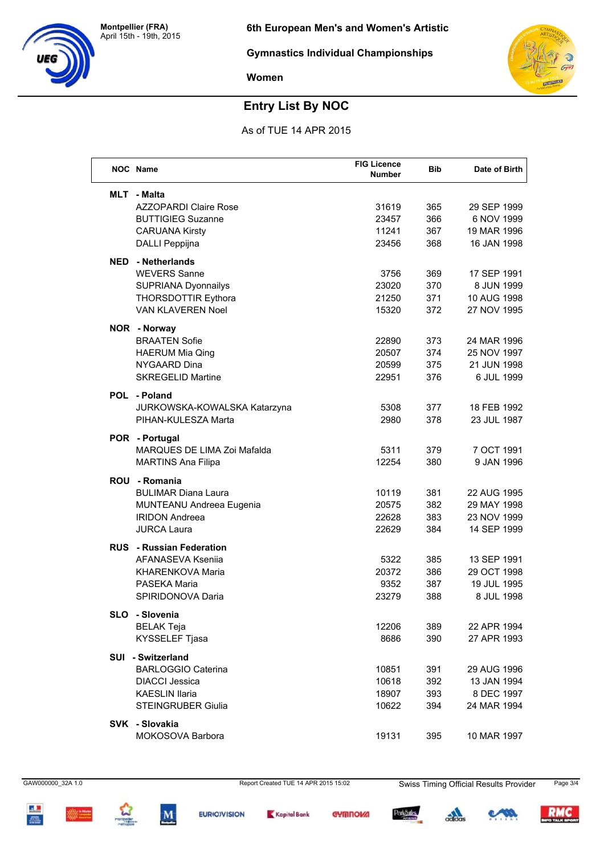



# **Entry List By NOC**

As of TUE 14 APR 2015

|            | <b>NOC</b> Name                 | <b>FIG Licence</b><br>Number | <b>Bib</b> | Date of Birth |
|------------|---------------------------------|------------------------------|------------|---------------|
|            | MLT - Malta                     |                              |            |               |
|            | <b>AZZOPARDI Claire Rose</b>    | 31619                        | 365        | 29 SEP 1999   |
|            | <b>BUTTIGIEG Suzanne</b>        | 23457                        | 366        | 6 NOV 1999    |
|            | <b>CARUANA Kirsty</b>           | 11241                        | 367        | 19 MAR 1996   |
|            | DALLI Peppijna                  | 23456                        | 368        | 16 JAN 1998   |
| NED        | - Netherlands                   |                              |            |               |
|            | <b>WEVERS Sanne</b>             | 3756                         | 369        | 17 SEP 1991   |
|            | SUPRIANA Dyonnailys             | 23020                        | 370        | 8 JUN 1999    |
|            | THORSDOTTIR Eythora             | 21250                        | 371        | 10 AUG 1998   |
|            | VAN KLAVEREN Noel               | 15320                        | 372        | 27 NOV 1995   |
|            | NOR - Norway                    |                              |            |               |
|            | <b>BRAATEN Sofie</b>            | 22890                        | 373        | 24 MAR 1996   |
|            | <b>HAERUM Mia Qing</b>          | 20507                        | 374        | 25 NOV 1997   |
|            | NYGAARD Dina                    | 20599                        | 375        | 21 JUN 1998   |
|            | <b>SKREGELID Martine</b>        | 22951                        | 376        | 6 JUL 1999    |
|            | POL - Poland                    |                              |            |               |
|            | JURKOWSKA-KOWALSKA Katarzyna    | 5308                         | 377        | 18 FEB 1992   |
|            | PIHAN-KULESZA Marta             | 2980                         | 378        | 23 JUL 1987   |
|            | POR - Portugal                  |                              |            |               |
|            | MARQUES DE LIMA Zoi Mafalda     | 5311                         | 379        | 7 OCT 1991    |
|            | <b>MARTINS Ana Filipa</b>       | 12254                        | 380        | 9 JAN 1996    |
| <b>ROU</b> | - Romania                       |                              |            |               |
|            | <b>BULIMAR Diana Laura</b>      | 10119                        | 381        | 22 AUG 1995   |
|            | MUNTEANU Andreea Eugenia        | 20575                        | 382        | 29 MAY 1998   |
|            | <b>IRIDON Andreea</b>           | 22628                        | 383        | 23 NOV 1999   |
|            | <b>JURCA Laura</b>              | 22629                        | 384        | 14 SEP 1999   |
|            | <b>RUS</b> - Russian Federation |                              |            |               |
|            | AFANASEVA Ksenija               | 5322                         | 385        | 13 SEP 1991   |
|            | KHARENKOVA Maria                | 20372                        | 386        | 29 OCT 1998   |
|            | PASEKA Maria                    | 9352                         | 387        | 19 JUL 1995   |
|            | SPIRIDONOVA Daria               | 23279                        | 388        | 8 JUL 1998    |
|            | SLO - Slovenia                  |                              |            |               |
|            | <b>BELAK Teja</b>               | 12206                        | 389        | 22 APR 1994   |
|            | KYSSELEF Tjasa                  | 8686                         | 390        | 27 APR 1993   |
|            | SUI - Switzerland               |                              |            |               |
|            | <b>BARLOGGIO Caterina</b>       | 10851                        | 391        | 29 AUG 1996   |
|            | <b>DIACCI Jessica</b>           | 10618                        | 392        | 13 JAN 1994   |
|            | <b>KAESLIN Ilaria</b>           | 18907                        | 393        | 8 DEC 1997    |
|            | <b>STEINGRUBER Giulia</b>       | 10622                        | 394        | 24 MAR 1994   |
|            | SVK - Slovakia                  |                              |            |               |
|            | MOKOSOVA Barbora                | 19131                        | 395        | 10 MAR 1997   |

GAW000000\_32A 1.0



 $\mathbf{M}$ 



Report Created TUE 14 APR 2015 15:02





**Swiss Timing Official Results Provider** 



Page 3/4